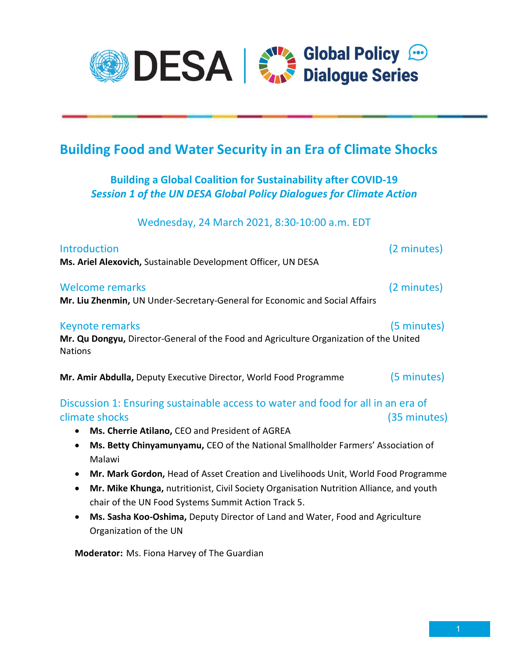

## Building Food and Water Security in an Era of Climate Shocks

## Building a Global Coalition for Sustainability after COVID-19 Session 1 of the UN DESA Global Policy Dialogues for Climate Action

Wednesday, 24 March 2021, 8:30-10:00 a.m. EDT

| Introduction<br>Ms. Ariel Alexovich, Sustainable Development Officer, UN DESA                                                                                      | (2 minutes)  |
|--------------------------------------------------------------------------------------------------------------------------------------------------------------------|--------------|
| Welcome remarks<br>Mr. Liu Zhenmin, UN Under-Secretary-General for Economic and Social Affairs                                                                     | (2 minutes)  |
| <b>Keynote remarks</b><br>Mr. Qu Dongyu, Director-General of the Food and Agriculture Organization of the United<br><b>Nations</b>                                 | (5 minutes)  |
| Mr. Amir Abdulla, Deputy Executive Director, World Food Programme                                                                                                  | (5 minutes)  |
| Discussion 1: Ensuring sustainable access to water and food for all in an era of<br>climate shocks<br>Ms. Cherrie Atilano, CEO and President of AGREA<br>$\bullet$ | (35 minutes) |

- Ms. Betty Chinyamunyamu, CEO of the National Smallholder Farmers' Association of Malawi
- Mr. Mark Gordon, Head of Asset Creation and Livelihoods Unit, World Food Programme
- Mr. Mike Khunga, nutritionist, Civil Society Organisation Nutrition Alliance, and youth chair of the UN Food Systems Summit Action Track 5.
- Ms. Sasha Koo-Oshima, Deputy Director of Land and Water, Food and Agriculture Organization of the UN

Moderator: Ms. Fiona Harvey of The Guardian